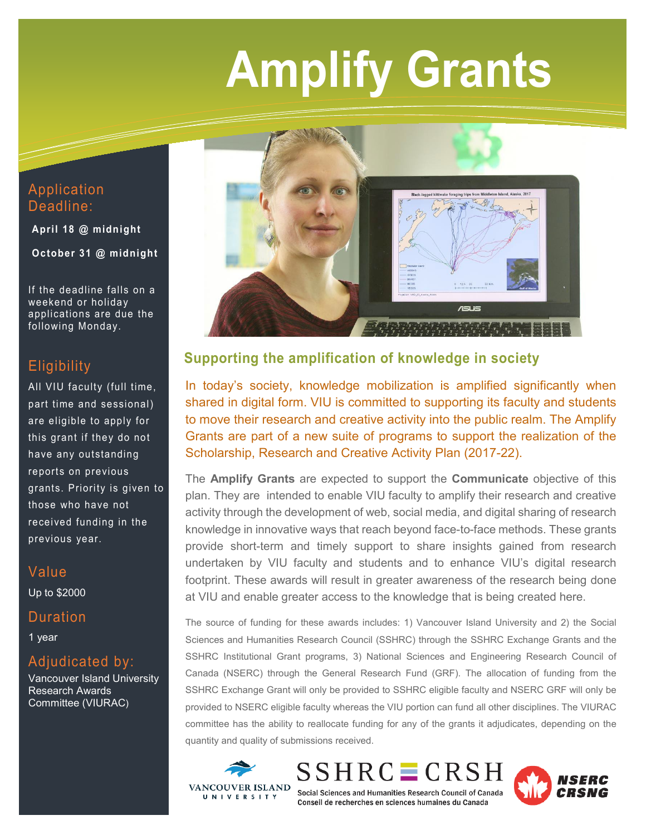# **Amplify Grants**

Application Deadline:

**April 18 @ midnight**

**October 31 @ midnight**

If the deadline falls on a weekend or holiday applications are due the following Monday.

## **Eligibility**

All VIU faculty (full time, part time and sessional) are eligible to apply for this grant if they do not have any outstanding reports on previous grants. Priority is given to those who have not received funding in the previous year.

# Value

Up to \$2000

### Duration

1 year

# Adjudicated by:

Vancouver Island University Research Awards Committee (VIURAC)



# **Supporting the amplification of knowledge in society**

In today's society, knowledge mobilization is amplified significantly when shared in digital form. VIU is committed to supporting its faculty and students to move their research and creative activity into the public realm. The Amplify Grants are part of a new suite of programs to support the realization of the Scholarship, Research and Creative Activity Plan (2017-22).

The **Amplify Grants** are expected to support the **Communicate** objective of this plan. They are intended to enable VIU faculty to amplify their research and creative activity through the development of web, social media, and digital sharing of research knowledge in innovative ways that reach beyond face-to-face methods. These grants provide short-term and timely support to share insights gained from research undertaken by VIU faculty and students and to enhance VIU's digital research footprint. These awards will result in greater awareness of the research being done at VIU and enable greater access to the knowledge that is being created here.

The source of funding for these awards includes: 1) Vancouver Island University and 2) the Social Sciences and Humanities Research Council (SSHRC) through the SSHRC Exchange Grants and the SSHRC Institutional Grant programs, 3) National Sciences and Engineering Research Council of Canada (NSERC) through the General Research Fund (GRF). The allocation of funding from the SSHRC Exchange Grant will only be provided to SSHRC eligible faculty and NSERC GRF will only be provided to NSERC eligible faculty whereas the VIU portion can fund all other disciplines. The VIURAC committee has the ability to reallocate funding for any of the grants it adjudicates, depending on the quantity and quality of submissions received.



 $SSHRC \equiv CRSH$ 



Social Sciences and Humanities Research Council of Canada Conseil de recherches en sciences humaines du Canada